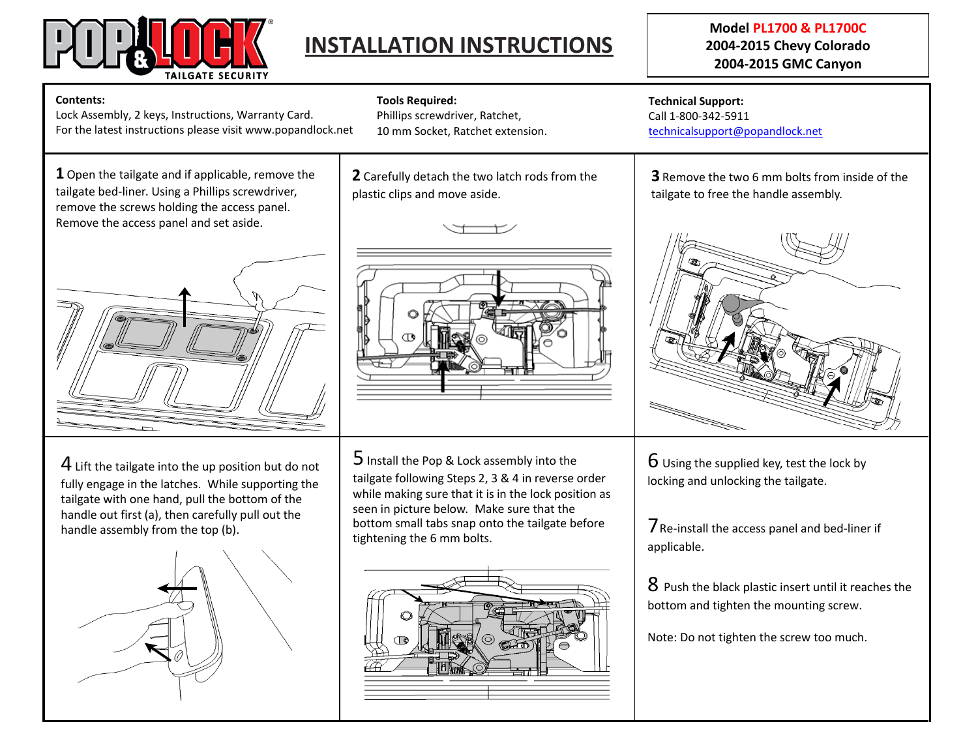

# **INSTALLATION INSTRUCTIONS**

## **Model PL1700 & PL1700C 2004-2015 Chevy Colorado 2004-2015 GMC Canyon**

#### **Contents:**

Lock Assembly, 2 keys, Instructions, Warranty Card. For the latest instructions please visit www.popandlock.net

**1** Open the tailgate and if applicable, remove the tailgate bed-liner. Using a Phillips screwdriver, remove the screws holding the access panel. Remove the access panel and set aside.



 $4$  Lift the tailgate into the up position but do not fully engage in the latches. While supporting the tailgate with one hand, pull the bottom of the handle out first (a), then carefully pull out the handle assembly from the top (b).



**Tools Required:** Phillips screwdriver, Ratchet,

10 mm Socket, Ratchet extension.

**2** Carefully detach the two latch rods from the plastic clips and move aside.





 $5$  Install the Pop & Lock assembly into the tailgate following Steps 2, 3 & 4 in reverse order while making sure that it is in the lock position as seen in picture below. Make sure that the bottom small tabs snap onto the tailgate before tightening the 6 mm bolts.



**Technical Support:** Call 1-800-342-5911 [technicalsupport@popandlock.net](mailto:technicalsupport@popandlock.net)

**3** Remove the two 6 mm bolts from inside of the tailgate to free the handle assembly.



 $6$  Using the supplied key, test the lock by locking and unlocking the tailgate.

7Re-install the access panel and bed-liner if applicable.

8 Push the black plastic insert until it reaches the bottom and tighten the mounting screw.

Note: Do not tighten the screw too much.